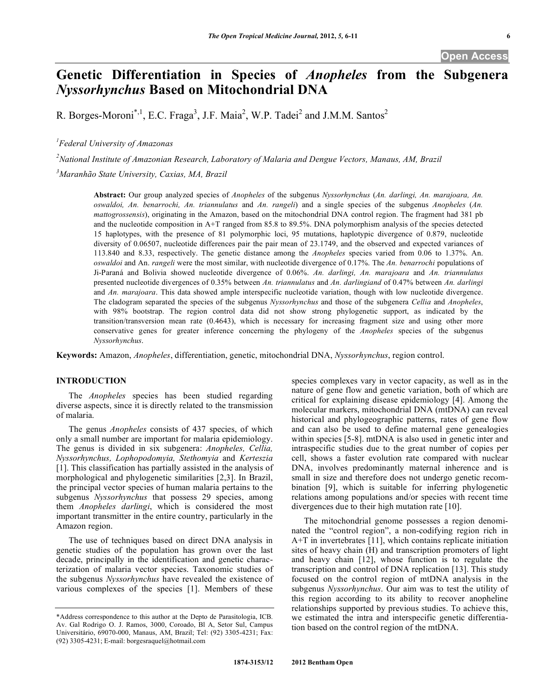# **Genetic Differentiation in Species of** *Anopheles* **from the Subgenera**  *Nyssorhynchus* **Based on Mitochondrial DNA**

R. Borges-Moroni<sup>\*,1</sup>, E.C. Fraga<sup>3</sup>, J.F. Maia<sup>2</sup>, W.P. Tadei<sup>2</sup> and J.M.M. Santos<sup>2</sup>

*1 Federal University of Amazonas*

*2 National Institute of Amazonian Research, Laboratory of Malaria and Dengue Vectors, Manaus, AM, Brazil 3 Maranhão State University, Caxias, MA, Brazil*

**Abstract:** Our group analyzed species of *Anopheles* of the subgenus *Nyssorhynchus* (*An. darlingi, An. marajoara, An. oswaldoi, An. benarrochi, An. triannulatus* and *An. rangeli*) and a single species of the subgenus *Anopheles* (*An. mattogrossensis*), originating in the Amazon, based on the mitochondrial DNA control region. The fragment had 381 pb and the nucleotide composition in A+T ranged from 85.8 to 89.5%. DNA polymorphism analysis of the species detected 15 haplotypes, with the presence of 81 polymorphic loci, 95 mutations, haplotypic divergence of 0.879, nucleotide diversity of 0.06507, nucleotide differences pair the pair mean of 23.1749, and the observed and expected variances of 113.840 and 8.33, respectively. The genetic distance among the *Anopheles* species varied from 0.06 to 1.37%. An. *oswaldoi* and An. *rangeli* were the most similar, with nucleotide divergence of 0.17%. The *An. benarrochi* populations of Ji-Paraná and Bolivia showed nucleotide divergence of 0.06%. *An. darlingi, An. marajoara* and *An. triannulatus* presented nucleotide divergences of 0.35% between *An. triannulatus* and *An. darlingiand* of 0.47% between *An. darlingi* and *An. marajoara*. This data showed ample interspecific nucleotide variation, though with low nucleotide divergence. The cladogram separated the species of the subgenus *Nyssorhynchus* and those of the subgenera *Cellia* and *Anopheles*, with 98% bootstrap. The region control data did not show strong phylogenetic support, as indicated by the transition/transversion mean rate (0.4643), which is necessary for increasing fragment size and using other more conservative genes for greater inference concerning the phylogeny of the *Anopheles* species of the subgenus *Nyssorhynchus*.

**Keywords:** Amazon, *Anopheles*, differentiation, genetic, mitochondrial DNA, *Nyssorhynchus*, region control.

# **INTRODUCTION**

The *Anopheles* species has been studied regarding diverse aspects, since it is directly related to the transmission of malaria.

The genus *Anopheles* consists of 437 species, of which only a small number are important for malaria epidemiology. The genus is divided in six subgenera: *Anopheles, Cellia, Nyssorhynchus, Lophopodomyia, Stethomyia* and *Kerteszia* [1]. This classification has partially assisted in the analysis of morphological and phylogenetic similarities [2,3]. In Brazil, the principal vector species of human malaria pertains to the subgenus *Nyssorhynchus* that possess 29 species, among them *Anopheles darlingi*, which is considered the most important transmitter in the entire country, particularly in the Amazon region.

The use of techniques based on direct DNA analysis in genetic studies of the population has grown over the last decade, principally in the identification and genetic characterization of malaria vector species. Taxonomic studies of the subgenus *Nyssorhynchus* have revealed the existence of various complexes of the species [1]. Members of these

species complexes vary in vector capacity, as well as in the nature of gene flow and genetic variation, both of which are critical for explaining disease epidemiology [4]. Among the molecular markers, mitochondrial DNA (mtDNA) can reveal historical and phylogeographic patterns, rates of gene flow and can also be used to define maternal gene genealogies within species [5-8]. mtDNA is also used in genetic inter and intraspecific studies due to the great number of copies per cell, shows a faster evolution rate compared with nuclear DNA, involves predominantly maternal inherence and is small in size and therefore does not undergo genetic recombination [9], which is suitable for inferring phylogenetic relations among populations and/or species with recent time divergences due to their high mutation rate [10].

The mitochondrial genome possesses a region denominated the "control region", a non-codifying region rich in A+T in invertebrates [11], which contains replicate initiation sites of heavy chain (H) and transcription promoters of light and heavy chain [12], whose function is to regulate the transcription and control of DNA replication [13]. This study focused on the control region of mtDNA analysis in the subgenus *Nyssorhynchus*. Our aim was to test the utility of this region according to its ability to recover anopheline relationships supported by previous studies. To achieve this, we estimated the intra and interspecific genetic differentiation based on the control region of the mtDNA.

<sup>\*</sup>Address correspondence to this author at the Depto de Parasitologia, ICB. Av. Gal Rodrigo O. J. Ramos, 3000, Coroado, Bl A, Setor Sul, Campus Universitário, 69070-000, Manaus, AM, Brazil; Tel: (92) 3305-4231; Fax: (92) 3305-4231; E-mail: borgesraquel@hotmail.com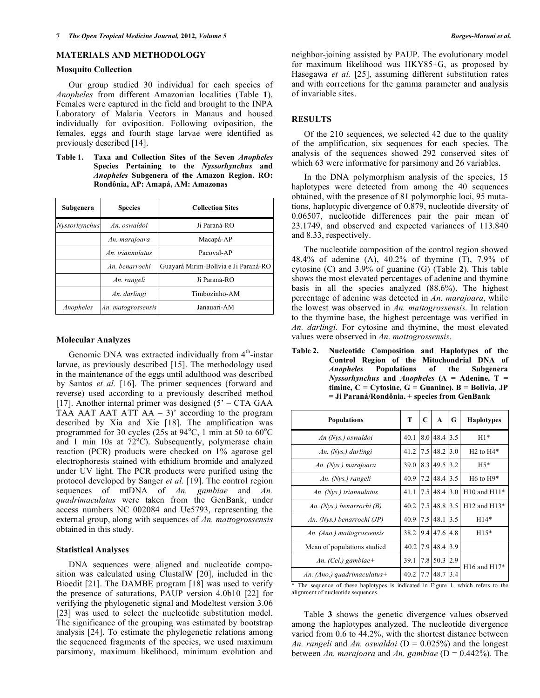### **MATERIALS AND METHODOLOGY**

### **Mosquito Collection**

Our group studied 30 individual for each species of *Anopheles* from different Amazonian localities (Table **1**). Females were captured in the field and brought to the INPA Laboratory of Malaria Vectors in Manaus and housed individually for oviposition. Following oviposition, the females, eggs and fourth stage larvae were identified as previously described [14].

**Table 1. Taxa and Collection Sites of the Seven** *Anopheles* **Species Pertaining to the** *Nyssorhynchus* **and** *Anopheles* **Subgenera of the Amazon Region. RO: Rondônia, AP: Amapá, AM: Amazonas**

| Subgenera     | <b>Species</b>     | <b>Collection Sites</b>              |  |  |  |
|---------------|--------------------|--------------------------------------|--|--|--|
| Nyssorhynchus | An. oswaldoi       | Ji Paraná-RO                         |  |  |  |
|               | An. marajoara      | Macapá-AP                            |  |  |  |
|               | An triannulatus    | Pacoval-AP                           |  |  |  |
|               | An. benarrochi     | Guavará Mirim-Bolívia e Ji Paraná-RO |  |  |  |
|               | An. rangeli        | Ji Paraná-RO                         |  |  |  |
|               | An. darlingi       | Timbozinho-AM                        |  |  |  |
| Anopheles     | An. matogrossensis | Janauari-AM                          |  |  |  |

### **Molecular Analyzes**

Genomic DNA was extracted individually from 4<sup>th</sup>-instar larvae, as previously described [15]. The methodology used in the maintenance of the eggs until adulthood was described by Santos *et al.* [16]. The primer sequences (forward and reverse) used according to a previously described method [17]. Another internal primer was designed  $(5 - CTA GAA)$ TAA AAT AAT ATT  $AA - 3$ )' according to the program described by Xia and Xie [18]. The amplification was programmed for 30 cycles (25s at  $94^{\circ}$ C, 1 min at 50 to 60 $^{\circ}$ C and 1 min 10s at  $72^{\circ}$ C). Subsequently, polymerase chain reaction (PCR) products were checked on 1% agarose gel electrophoresis stained with ethidium bromide and analyzed under UV light. The PCR products were purified using the protocol developed by Sanger *et al.* [19]. The control region sequences of mtDNA of *An. gambiae* and *An. quadrimaculatus* were taken from the GenBank, under access numbers NC 002084 and Ue5793, representing the external group, along with sequences of *An. mattogrossensis* obtained in this study.

### **Statistical Analyses**

DNA sequences were aligned and nucleotide composition was calculated using ClustalW [20], included in the Bioedit [21]. The DAMBE program [18] was used to verify the presence of saturations, PAUP version 4.0b10 [22] for verifying the phylogenetic signal and Modeltest version 3.06 [23] was used to select the nucleotide substitution model. The significance of the grouping was estimated by bootstrap analysis [24]. To estimate the phylogenetic relations among the sequenced fragments of the species, we used maximum parsimony, maximum likelihood, minimum evolution and

### **RESULTS**

Of the 210 sequences, we selected 42 due to the quality of the amplification, six sequences for each species. The analysis of the sequences showed 292 conserved sites of which 63 were informative for parsimony and 26 variables.

In the DNA polymorphism analysis of the species, 15 haplotypes were detected from among the 40 sequences obtained, with the presence of 81 polymorphic loci, 95 mutations, haplotypic divergence of 0.879, nucleotide diversity of 0.06507, nucleotide differences pair the pair mean of 23.1749, and observed and expected variances of 113.840 and 8.33, respectively.

The nucleotide composition of the control region showed 48.4% of adenine (A), 40.2% of thymine (T), 7.9% of cytosine (C) and 3.9% of guanine (G) (Table **2**). This table shows the most elevated percentages of adenine and thymine basis in all the species analyzed (88.6%). The highest percentage of adenine was detected in *An. marajoara*, while the lowest was observed in *An. mattogrossensis.* In relation to the thymine base, the highest percentage was verified in *An. darlingi.* For cytosine and thymine, the most elevated values were observed in *An. mattogrossensis*.

**Table 2. Nucleotide Composition and Haplotypes of the Control Region of the Mitochondrial DNA of** *Anopheles* **Populations of the Subgenera** *Nyssorhynchus* **and** *Anopheles* **(A = Adenine, T =**  $t$ **imine,**  $C = C$ ytosine,  $G =$  **Guanine**).  $B =$  **Bolivia**, **JP = Ji Paraná/Rondônia. + species from GenBank**

| Populations                  |      | C   | A        | G   | <b>Haplotypes</b> |
|------------------------------|------|-----|----------|-----|-------------------|
| An (Nys.) oswaldoi           | 40.1 | 8.0 | 48.4     | 3.5 | $H1*$             |
| An. (Nys.) darlingi          | 41.2 | 7.5 | 48.2     | 3.0 | $H2$ to $H4*$     |
| An. (Nys.) marajoara         | 39.0 | 8.3 | 49.5     | 3.2 | $H5*$             |
| An. (Nys.) rangeli           | 40.9 | 7.2 | 48.4 3.5 |     | $H6$ to $H9*$     |
| An. $(Nys.)$ triannulatus    | 41.1 | 7.5 | 48.4     | 3.0 | $H10$ and $H11*$  |
| An. (Nys.) benarrochi (B)    | 40.2 | 7.5 | 48.8     | 3.5 | $H12$ and $H13*$  |
| An. (Nys.) benarrochi (JP)   |      | 7.5 | 48.1     | 3.5 | $H14*$            |
| An. (Ano.) mattogrossensis   |      | 9.4 | 47.6     | 4.8 | $H15*$            |
| Mean of populations studied  |      | 7.9 | 48.4     | 3.9 |                   |
| An. (Cel.) gambiae+          | 39.1 | 7.8 | 50.3     | 2.9 | $H16$ and $H17*$  |
| An. (Ano.) quadrimaculatus + | 40.2 | 7.7 | 48.7     | 3.4 |                   |

\* The sequence of these haplotypes is indicated in Figure 1, which refers to the alignment of nucleotide sequences.

Table **3** shows the genetic divergence values observed among the haplotypes analyzed. The nucleotide divergence varied from 0.6 to 44.2%, with the shortest distance between *An. rangeli* and *An. oswaldoi* ( $D = 0.025\%$ ) and the longest between *An. marajoara* and *An. gambiae* (D = 0.442%). The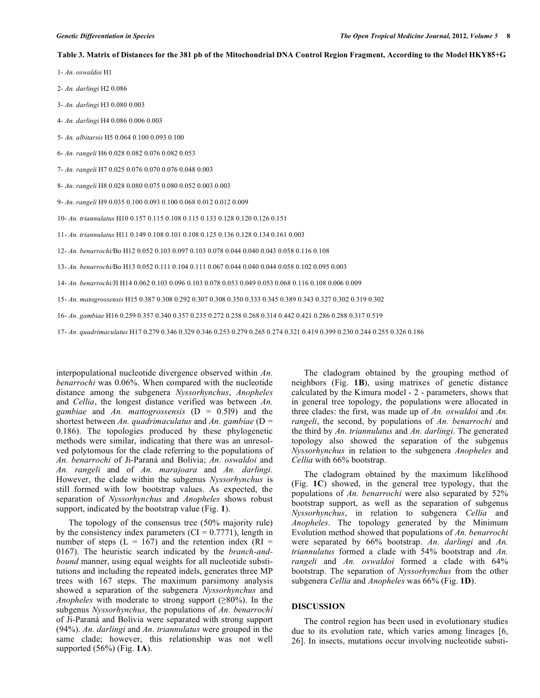### Table 3. Matrix of Distances for the 381 pb of the Mitochondrial DNA Control Region Fragment, According to the Model HKY85+G

1- *An. oswaldoi* H1

- 2- *An. darlingi* H2 0.086
- 3- *An. darlingi* H3 0.080 0.003
- 4- *An. darlingi* H4 0.086 0.006 0.003
- 5- *An. albitarsis* H5 0.064 0.100 0.093 0.100
- 6- *An. rangeli* H6 0.028 0.082 0.076 0.082 0.053
- 7- *An. rangeli* H7 0.025 0.076 0.070 0.076 0.048 0.003
- 8- *An. rangeli* H8 0.028 0.080 0.075 0.080 0.052 0.003 0.003
- 9- *An. rangeli* H9 0.035 0.100 0.093 0.100 0.068 0.012 0.012 0.009
- 10- *An. triannulatus* H10 0.157 0.115 0.108 0.115 0.133 0.128 0.120 0.126 0.151
- 11- *An. triannulatus* H11 0.149 0.108 0.101 0.108 0.125 0.136 0.128 0.134 0.161 0.003
- 12- *An. benarrochi/*Bo H12 0.052 0.103 0.097 0.103 0.078 0.044 0.040 0.043 0.058 0.116 0.108
- 13- *An. benarrochi/*Bo H13 0.052 0.111 0.104 0.111 0.067 0.044 0.040 0.044 0.058 0.102 0.095 0.003
- 14- *An. benarrochi/*JI H14 0.062 0.103 0.096 0.103 0.078 0.053 0.049 0.053 0.068 0.116 0.108 0.006 0.009
- 15- *An. matogrossensis* H15 0.387 0.308 0.292 0.307 0.308 0.350 0.333 0.345 0.389 0.343 0.327 0.302 0.319 0.302
- 16- *An. gambiae* H16 0.259 0.357 0.340 0.357 0.235 0.272 0.258 0.268 0.314 0.442 0.421 0.286 0.288 0.317 0.519
- 17- *An. quadrimaculatus* H17 0.279 0.346 0.329 0.346 0.253 0.279 0.265 0.274 0.321 0.419 0.399 0.230 0.244 0.255 0.326 0.186

interpopulational nucleotide divergence observed within *An. benarrochi* was 0.06%. When compared with the nucleotide distance among the subgenera *Nyssorhynchus*, *Anopheles* and *Cellia*, the longest distance verified was between *An. gambiae* and *An. mattogrossensis* (D = 0.5l9) and the shortest between *An. quadrimaculatus* and *An. gambiae* (D = 0.186). The topologies produced by these phylogenetic methods were similar, indicating that there was an unresolved polytomous for the clade referring to the populations of *An. benarrochi* of Ji-Paraná and Bolivia; *An. oswaldoi* and *An. rangeli* and of *An. marajoara* and *An. darlingi*. However, the clade within the subgenus *Nyssorhynchus* is still formed with low bootstrap values. As expected, the separation of *Nyssorhynchus* and *Anopheles* shows robust support, indicated by the bootstrap value (Fig. **1**).

The topology of the consensus tree (50% majority rule) by the consistency index parameters  $(CI = 0.7771)$ , length in number of steps ( $L = 167$ ) and the retention index ( $RI =$ 0167). The heuristic search indicated by the *branch-andbound* manner, using equal weights for all nucleotide substitutions and including the repeated indels, generates three MP trees with 167 steps. The maximum parsimony analysis showed a separation of the subgenera *Nyssorhynchus* and *Anopheles* with moderate to strong support (≥80%). In the subgenus *Nyssorhynchus,* the populations of *An. benarrochi* of Ji-Paraná and Bolivia were separated with strong support (94%). *An. darlingi* and *An. triannulatus* were grouped in the same clade; however, this relationship was not well supported (56%) (Fig. **1A**).

The cladogram obtained by the grouping method of neighbors (Fig. **1B**), using matrixes of genetic distance calculated by the Kimura model - 2 - parameters, shows that in general tree topology, the populations were allocated in three clades: the first, was made up of *An. oswaldoi* and *An. rangeli*, the second, by populations of *An. benarrochi* and the third by *An. triannulatus* and *An. darlingi*. The generated topology also showed the separation of the subgenus *Nyssorhynchus* in relation to the subgenera *Anopheles* and *Cellia* with 66% bootstrap.

The cladogram obtained by the maximum likelihood (Fig. **1C**) showed, in the general tree typology, that the populations of *An. benarrochi* were also separated by 52% bootstrap support, as well as the separation of subgenus *Nyssorhynchus*, in relation to subgenera *Cellia* and *Anopheles*. The topology generated by the Minimum Evolution method showed that populations of *An. benarrochi* were separated by 66% bootstrap. *An. darlingi* and *An. triannulatus* formed a clade with 54% bootstrap and *An. rangeli* and *An. oswaldoi* formed a clade with 64% bootstrap. The separation of *Nyssorhynchus* from the other subgenera *Cellia* and *Anopheles* was 66% (Fig. **1D**).

### **DISCUSSION**

The control region has been used in evolutionary studies due to its evolution rate, which varies among lineages [6, 26]. In insects, mutations occur involving nucleotide substi-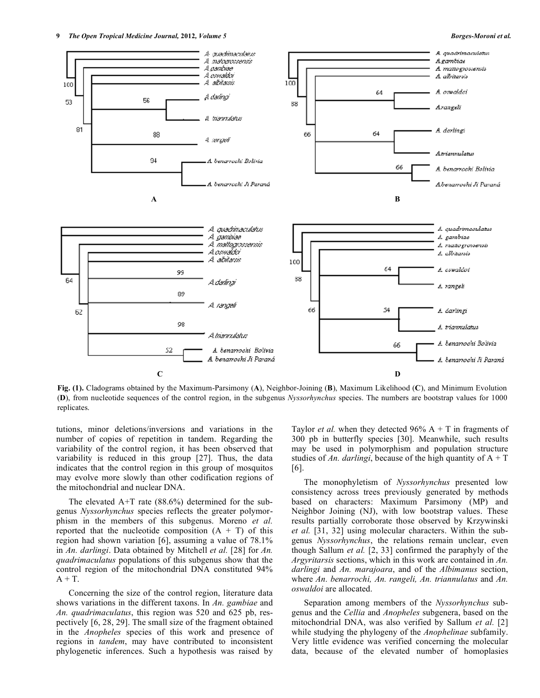

**Fig. (1).** Cladograms obtained by the Maximum-Parsimony (**A**), Neighbor-Joining (**B**), Maximum Likelihood (**C**), and Minimum Evolution (**D**), from nucleotide sequences of the control region, in the subgenus *Nyssorhynchus* species. The numbers are bootstrap values for 1000 replicates.

tutions, minor deletions/inversions and variations in the number of copies of repetition in tandem. Regarding the variability of the control region, it has been observed that variability is reduced in this group [27]. Thus, the data indicates that the control region in this group of mosquitos may evolve more slowly than other codification regions of the mitochondrial and nuclear DNA.

The elevated  $A+T$  rate (88.6%) determined for the subgenus *Nyssorhynchus* species reflects the greater polymorphism in the members of this subgenus. Moreno *et al.* reported that the nucleotide composition  $(A + T)$  of this region had shown variation [6], assuming a value of 78.1% in *An. darlingi*. Data obtained by Mitchell *et al.* [28] for *An. quadrimaculatus* populations of this subgenus show that the control region of the mitochondrial DNA constituted 94%  $A + T$ .

Concerning the size of the control region, literature data shows variations in the different taxons. In *An. gambiae* and *An. quadrimaculatus*, this region was 520 and 625 pb, respectively [6, 28, 29]. The small size of the fragment obtained in the *Anopheles* species of this work and presence of regions in *tandem*, may have contributed to inconsistent phylogenetic inferences. Such a hypothesis was raised by

Taylor *et al.* when they detected  $96\%$  A + T in fragments of 300 pb in butterfly species [30]. Meanwhile, such results may be used in polymorphism and population structure studies of *An. darlingi*, because of the high quantity of  $A + T$ [6].

The monophyletism of *Nyssorhynchus* presented low consistency across trees previously generated by methods based on characters: Maximum Parsimony (MP) and Neighbor Joining (NJ), with low bootstrap values. These results partially corroborate those observed by Krzywinski *et al.* [31, 32] using molecular characters. Within the subgenus *Nyssorhynchus*, the relations remain unclear, even though Sallum *et al.* [2, 33] confirmed the paraphyly of the *Argyritarsis* sections, which in this work are contained in *An. darlingi* and *An. marajoara*, and of the *Albimanus* section, where *An. benarrochi, An. rangeli, An. triannulatus* and *An. oswaldoi* are allocated.

Separation among members of the *Nyssorhynchus* subgenus and the *Cellia* and *Anopheles* subgenera, based on the mitochondrial DNA, was also verified by Sallum *et al.* [2] while studying the phylogeny of the *Anophelinae* subfamily. Very little evidence was verified concerning the molecular data, because of the elevated number of homoplasies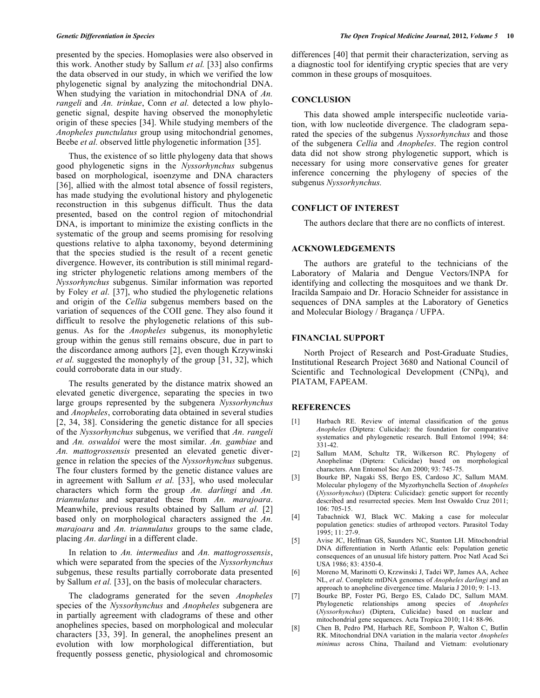presented by the species. Homoplasies were also observed in this work. Another study by Sallum *et al.* [33] also confirms the data observed in our study, in which we verified the low phylogenetic signal by analyzing the mitochondrial DNA. When studying the variation in mitochondrial DNA of *An. rangeli* and *An. trinkae*, Conn *et al.* detected a low phylogenetic signal, despite having observed the monophyletic origin of these species [34]. While studying members of the *Anopheles punctulatus* group using mitochondrial genomes, Beebe *et al.* observed little phylogenetic information [35].

Thus, the existence of so little phylogeny data that shows good phylogenetic signs in the *Nyssorhynchus* subgenus based on morphological, isoenzyme and DNA characters [36], allied with the almost total absence of fossil registers, has made studying the evolutional history and phylogenetic reconstruction in this subgenus difficult. Thus the data presented, based on the control region of mitochondrial DNA, is important to minimize the existing conflicts in the systematic of the group and seems promising for resolving questions relative to alpha taxonomy, beyond determining that the species studied is the result of a recent genetic divergence. However, its contribution is still minimal regarding stricter phylogenetic relations among members of the *Nyssorhynchus* subgenus. Similar information was reported by Foley *et al.* [37], who studied the phylogenetic relations and origin of the *Cellia* subgenus members based on the variation of sequences of the COII gene. They also found it difficult to resolve the phylogenetic relations of this subgenus. As for the *Anopheles* subgenus, its monophyletic group within the genus still remains obscure, due in part to the discordance among authors [2], even though Krzywinski *et al.* suggested the monophyly of the group [31, 32], which could corroborate data in our study.

The results generated by the distance matrix showed an elevated genetic divergence, separating the species in two large groups represented by the subgenera *Nyssorhynchus* and *Anopheles*, corroborating data obtained in several studies [2, 34, 38]. Considering the genetic distance for all species of the *Nyssorhynchus* subgenus, we verified that *An. rangeli* and *An. oswaldoi* were the most similar. *An. gambiae* and *An. mattogrossensis* presented an elevated genetic divergence in relation the species of the *Nyssorhynchus* subgenus. The four clusters formed by the genetic distance values are in agreement with Sallum *et al.* [33], who used molecular characters which form the group *An. darlingi* and *An. triannulatus* and separated these from *An. marajoara*. Meanwhile, previous results obtained by Sallum *et al.* [2] based only on morphological characters assigned the *An. marajoara* and *An. triannulatus* groups to the same clade, placing *An. darlingi* in a different clade.

In relation to *An. intermedius* and *An. mattogrossensis*, which were separated from the species of the *Nyssorhynchus* subgenus, these results partially corroborate data presented by Sallum *et al.* [33], on the basis of molecular characters.

The cladograms generated for the seven *Anopheles* species of the *Nyssorhynchus* and *Anopheles* subgenera are in partially agreement with cladograms of these and other anophelines species, based on morphological and molecular characters [33, 39]. In general, the anophelines present an evolution with low morphological differentiation, but frequently possess genetic, physiological and chromosomic differences [40] that permit their characterization, serving as a diagnostic tool for identifying cryptic species that are very common in these groups of mosquitoes.

### **CONCLUSION**

This data showed ample interspecific nucleotide variation, with low nucleotide divergence. The cladogram separated the species of the subgenus *Nyssorhynchus* and those of the subgenera *Cellia* and *Anopheles*. The region control data did not show strong phylogenetic support, which is necessary for using more conservative genes for greater inference concerning the phylogeny of species of the subgenus *Nyssorhynchus.*

### **CONFLICT OF INTEREST**

The authors declare that there are no conflicts of interest.

### **ACKNOWLEDGEMENTS**

The authors are grateful to the technicians of the Laboratory of Malaria and Dengue Vectors/INPA for identifying and collecting the mosquitoes and we thank Dr. Iracilda Sampaio and Dr. Horacio Schneider for assistance in sequences of DNA samples at the Laboratory of Genetics and Molecular Biology / Bragança / UFPA.

## **FINANCIAL SUPPORT**

North Project of Research and Post-Graduate Studies, Institutional Research Project 3680 and National Council of Scientific and Technological Development (CNPq), and PIATAM, FAPEAM.

# **REFERENCES**

- [1] Harbach RE. Review of internal classification of the genus *Anopheles* (Diptera: Culicidae): the foundation for comparative systematics and phylogenetic research. Bull Entomol 1994; 84: 331-42.
- [2] Sallum MAM, Schultz TR, Wilkerson RC. Phylogeny of Anophelinae (Diptera: Culicidae) based on morphological characters. Ann Entomol Soc Am 2000; 93: 745-75.
- [3] Bourke BP, Nagaki SS, Bergo ES, Cardoso JC, Sallum MAM. Molecular phylogeny of the Myzorhynchella Section of *Anopheles* (*Nyssorhynchus*) (Diptera: Culicidae): genetic support for recently described and resurrected species. Mem Inst Oswaldo Cruz 2011; 106: 705-15.
- [4] Tabachnick WJ, Black WC. Making a case for molecular population genetics: studies of arthropod vectors. Parasitol Today 1995; 11: 27-9.
- [5] Avise JC, Helfman GS, Saunders NC, Stanton LH. Mitochondrial DNA differentiation in North Atlantic eels: Population genetic consequences of an unusual life history pattern. Proc Natl Acad Sci USA 1986; 83: 4350-4.
- [6] Moreno M, Marinotti O, Krzwinski J, Tadei WP, James AA, Achee NL, *et al*. Complete mtDNA genomes of *Anopheles darlingi* and an approach to anopheline divergence time. Malaria J 2010; 9: 1-13.
- [7] Bourke BP, Foster PG, Bergo ES, Calado DC, Sallum MAM. Phylogenetic relationships among species of *Anopheles* (*Nyssorhynchus*) (Diptera, Culicidae) based on nuclear and mitochondrial gene sequences. Acta Tropica 2010; 114: 88-96.
- [8] Chen B, Pedro PM, Harbach RE, Somboon P, Walton C, Butlin RK. Mitochondrial DNA variation in the malaria vector *Anopheles minimus* across China, Thailand and Vietnam: evolutionary